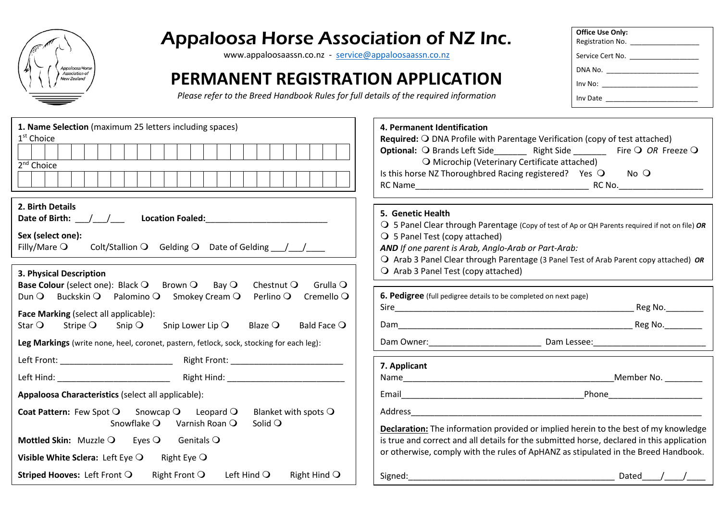

## Appaloosa Horse Association of NZ Inc.

[www.appaloosaassn.co.nz](http://www.appaloosaassn.co.nz/) - [service@appaloosaassn.co.nz](mailto:service@appaloosaassn.co.nz)

## **PERMANENT REGISTRATION APPLICATION**

| <b>Office Use Only:</b>                                                                                                                                                                                                        |
|--------------------------------------------------------------------------------------------------------------------------------------------------------------------------------------------------------------------------------|
| Registration No.                                                                                                                                                                                                               |
| Service Cert No.                                                                                                                                                                                                               |
|                                                                                                                                                                                                                                |
| Inv No: the contract of the contract of the contract of the contract of the contract of the contract of the contract of the contract of the contract of the contract of the contract of the contract of the contract of the co |
| Inv Date                                                                                                                                                                                                                       |

| 1. Name Selection (maximum 25 letters including spaces)<br>1 <sup>st</sup> Choice<br>2 <sup>nd</sup> Choice                                                                                                                                                                                                                                                                                                                                                                                                   | 4. Permanent Identification<br>Required: O DNA Profile with Parentage Verification (copy of test attached)<br>O Microchip (Veterinary Certificate attached)<br>Is this horse NZ Thoroughbred Racing registered? Yes O No O                                                                                                                             |
|---------------------------------------------------------------------------------------------------------------------------------------------------------------------------------------------------------------------------------------------------------------------------------------------------------------------------------------------------------------------------------------------------------------------------------------------------------------------------------------------------------------|--------------------------------------------------------------------------------------------------------------------------------------------------------------------------------------------------------------------------------------------------------------------------------------------------------------------------------------------------------|
| 2. Birth Details<br>Date of Birth: $/$ /<br>Sex (select one):<br>Colt/Stallion Q Gelding Q Date of Gelding 11<br>Filly/Mare $\bigcirc$<br>3. Physical Description                                                                                                                                                                                                                                                                                                                                             | 5. Genetic Health<br>O 5 Panel Clear through Parentage (Copy of test of Ap or QH Parents required if not on file) OR<br>$\bigcirc$ 5 Panel Test (copy attached)<br>AND If one parent is Arab, Anglo-Arab or Part-Arab:<br>O Arab 3 Panel Clear through Parentage (3 Panel Test of Arab Parent copy attached) OR<br>O Arab 3 Panel Test (copy attached) |
| Base Colour (select one): Black Q Brown Q Bay Q<br>Grulla $\bigcirc$<br>Chestnut $\mathsf O$<br>Dun $\mathsf{O}$ Buckskin $\mathsf{O}$ Palomino $\mathsf{O}$ Smokey Cream $\mathsf{O}$<br>Perlino $\mathsf O$<br>Cremello $\bigcirc$<br>Face Marking (select all applicable):<br>Snip Lower Lip $\bigcirc$<br>Bald Face $\bigcirc$<br>Star $\bigcirc$<br>Stripe $\bigcirc$<br>Snip $\bigcirc$<br>Blaze $\bigcirc$<br>Leg Markings (write none, heel, coronet, pastern, fetlock, sock, stocking for each leg): | 6. Pedigree (full pedigree details to be completed on next page)<br>Reg No.                                                                                                                                                                                                                                                                            |
|                                                                                                                                                                                                                                                                                                                                                                                                                                                                                                               | 7. Applicant                                                                                                                                                                                                                                                                                                                                           |
| Appaloosa Characteristics (select all applicable):<br>Coat Pattern: Few Spot O Snowcap O Leopard O<br>Blanket with spots $\bigcirc$<br>Snowflake Q Varnish Roan Q<br>Solid $\bigcirc$<br><b>Mottled Skin:</b> Muzzle $\bigcirc$ Eyes $\bigcirc$ Genitals $\bigcirc$<br>Visible White Sclera: Left Eye $\bigcirc$<br>Right Eye $\bigcirc$                                                                                                                                                                      | <b>Declaration:</b> The information provided or implied herein to the best of my knowledge<br>is true and correct and all details for the submitted horse, declared in this application<br>or otherwise, comply with the rules of ApHANZ as stipulated in the Breed Handbook.                                                                          |
| <b>Striped Hooves:</b> Left Front Q Right Front Q Left Hind Q<br>Right Hind $\bigcirc$                                                                                                                                                                                                                                                                                                                                                                                                                        | Signed: the contract of the contract of the contract of the contract of the contract of the contract of the contract of the contract of the contract of the contract of the contract of the contract of the contract of the co<br>Dated / /                                                                                                            |